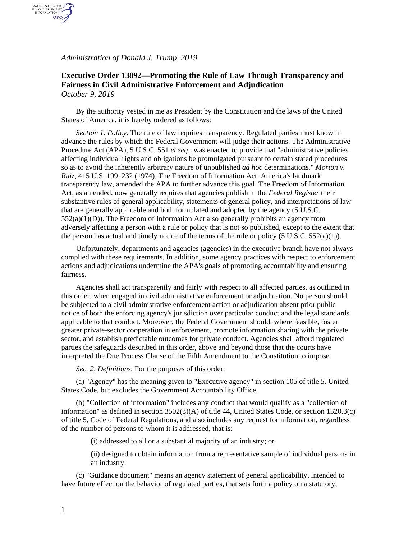*Administration of Donald J. Trump, 2019*

AUTHENTICATED<br>U.S. GOVERNMENT<br>INFORMATION GPO

## **Executive Order 13892—Promoting the Rule of Law Through Transparency and Fairness in Civil Administrative Enforcement and Adjudication** *October 9, 2019*

By the authority vested in me as President by the Constitution and the laws of the United States of America, it is hereby ordered as follows:

*Section 1*. *Policy*. The rule of law requires transparency. Regulated parties must know in advance the rules by which the Federal Government will judge their actions. The Administrative Procedure Act (APA), 5 U.S.C. 551 *et seq*., was enacted to provide that "administrative policies affecting individual rights and obligations be promulgated pursuant to certain stated procedures so as to avoid the inherently arbitrary nature of unpublished *ad hoc* determinations." *Morton v. Ruiz*, 415 U.S. 199, 232 (1974). The Freedom of Information Act, America's landmark transparency law, amended the APA to further advance this goal. The Freedom of Information Act, as amended, now generally requires that agencies publish in the *Federal Register* their substantive rules of general applicability, statements of general policy, and interpretations of law that are generally applicable and both formulated and adopted by the agency (5 U.S.C.  $552(a)(1)(D)$ ). The Freedom of Information Act also generally prohibits an agency from adversely affecting a person with a rule or policy that is not so published, except to the extent that the person has actual and timely notice of the terms of the rule or policy  $(5 \text{ U.S.C. } 552(a)(1))$ .

Unfortunately, departments and agencies (agencies) in the executive branch have not always complied with these requirements. In addition, some agency practices with respect to enforcement actions and adjudications undermine the APA's goals of promoting accountability and ensuring fairness.

Agencies shall act transparently and fairly with respect to all affected parties, as outlined in this order, when engaged in civil administrative enforcement or adjudication. No person should be subjected to a civil administrative enforcement action or adjudication absent prior public notice of both the enforcing agency's jurisdiction over particular conduct and the legal standards applicable to that conduct. Moreover, the Federal Government should, where feasible, foster greater private-sector cooperation in enforcement, promote information sharing with the private sector, and establish predictable outcomes for private conduct. Agencies shall afford regulated parties the safeguards described in this order, above and beyond those that the courts have interpreted the Due Process Clause of the Fifth Amendment to the Constitution to impose.

*Sec. 2*. *Definitions*. For the purposes of this order:

(a) "Agency" has the meaning given to "Executive agency" in section 105 of title 5, United States Code, but excludes the Government Accountability Office.

(b) "Collection of information" includes any conduct that would qualify as a "collection of information" as defined in section 3502(3)(A) of title 44, United States Code, or section 1320.3(c) of title 5, Code of Federal Regulations, and also includes any request for information, regardless of the number of persons to whom it is addressed, that is:

(i) addressed to all or a substantial majority of an industry; or

(ii) designed to obtain information from a representative sample of individual persons in an industry.

(c) "Guidance document" means an agency statement of general applicability, intended to have future effect on the behavior of regulated parties, that sets forth a policy on a statutory,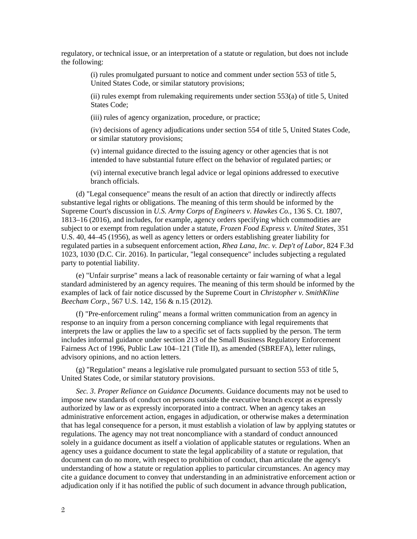regulatory, or technical issue, or an interpretation of a statute or regulation, but does not include the following:

> (i) rules promulgated pursuant to notice and comment under section 553 of title 5, United States Code, or similar statutory provisions;

(ii) rules exempt from rulemaking requirements under section 553(a) of title 5, United States Code;

(iii) rules of agency organization, procedure, or practice;

(iv) decisions of agency adjudications under section 554 of title 5, United States Code, or similar statutory provisions;

(v) internal guidance directed to the issuing agency or other agencies that is not intended to have substantial future effect on the behavior of regulated parties; or

(vi) internal executive branch legal advice or legal opinions addressed to executive branch officials.

(d) "Legal consequence" means the result of an action that directly or indirectly affects substantive legal rights or obligations. The meaning of this term should be informed by the Supreme Court's discussion in *U.S. Army Corps of Engineers v. Hawkes Co.*, 136 S. Ct. 1807, 1813–16 (2016), and includes, for example, agency orders specifying which commodities are subject to or exempt from regulation under a statute, *Frozen Food Express v. United States*, 351 U.S. 40, 44–45 (1956), as well as agency letters or orders establishing greater liability for regulated parties in a subsequent enforcement action, *Rhea Lana, Inc. v. Dep't of Labor*, 824 F.3d 1023, 1030 (D.C. Cir. 2016). In particular, "legal consequence" includes subjecting a regulated party to potential liability.

(e) "Unfair surprise" means a lack of reasonable certainty or fair warning of what a legal standard administered by an agency requires. The meaning of this term should be informed by the examples of lack of fair notice discussed by the Supreme Court in *Christopher v. SmithKline Beecham Corp.*, 567 U.S. 142, 156 & n.15 (2012).

(f) "Pre-enforcement ruling" means a formal written communication from an agency in response to an inquiry from a person concerning compliance with legal requirements that interprets the law or applies the law to a specific set of facts supplied by the person. The term includes informal guidance under section 213 of the Small Business Regulatory Enforcement Fairness Act of 1996, Public Law 104–121 (Title II), as amended (SBREFA), letter rulings, advisory opinions, and no action letters.

(g) "Regulation" means a legislative rule promulgated pursuant to section 553 of title 5, United States Code, or similar statutory provisions.

*Sec. 3*. *Proper Reliance on Guidance Documents*. Guidance documents may not be used to impose new standards of conduct on persons outside the executive branch except as expressly authorized by law or as expressly incorporated into a contract. When an agency takes an administrative enforcement action, engages in adjudication, or otherwise makes a determination that has legal consequence for a person, it must establish a violation of law by applying statutes or regulations. The agency may not treat noncompliance with a standard of conduct announced solely in a guidance document as itself a violation of applicable statutes or regulations. When an agency uses a guidance document to state the legal applicability of a statute or regulation, that document can do no more, with respect to prohibition of conduct, than articulate the agency's understanding of how a statute or regulation applies to particular circumstances. An agency may cite a guidance document to convey that understanding in an administrative enforcement action or adjudication only if it has notified the public of such document in advance through publication,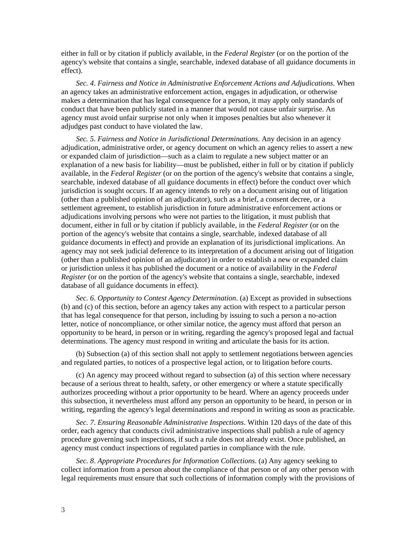either in full or by citation if publicly available, in the *Federal Register* (or on the portion of the agency's website that contains a single, searchable, indexed database of all guidance documents in effect).

*Sec. 4*. *Fairness and Notice in Administrative Enforcement Actions and Adjudications*. When an agency takes an administrative enforcement action, engages in adjudication, or otherwise makes a determination that has legal consequence for a person, it may apply only standards of conduct that have been publicly stated in a manner that would not cause unfair surprise. An agency must avoid unfair surprise not only when it imposes penalties but also whenever it adjudges past conduct to have violated the law.

*Sec. 5*. *Fairness and Notice in Jurisdictional Determinations*. Any decision in an agency adjudication, administrative order, or agency document on which an agency relies to assert a new or expanded claim of jurisdiction—such as a claim to regulate a new subject matter or an explanation of a new basis for liability—must be published, either in full or by citation if publicly available, in the *Federal Register* (or on the portion of the agency's website that contains a single, searchable, indexed database of all guidance documents in effect) before the conduct over which jurisdiction is sought occurs. If an agency intends to rely on a document arising out of litigation (other than a published opinion of an adjudicator), such as a brief, a consent decree, or a settlement agreement, to establish jurisdiction in future administrative enforcement actions or adjudications involving persons who were not parties to the litigation, it must publish that document, either in full or by citation if publicly available, in the *Federal Register* (or on the portion of the agency's website that contains a single, searchable, indexed database of all guidance documents in effect) and provide an explanation of its jurisdictional implications. An agency may not seek judicial deference to its interpretation of a document arising out of litigation (other than a published opinion of an adjudicator) in order to establish a new or expanded claim or jurisdiction unless it has published the document or a notice of availability in the *Federal Register* (or on the portion of the agency's website that contains a single, searchable, indexed database of all guidance documents in effect).

*Sec. 6*. *Opportunity to Contest Agency Determination*. (a) Except as provided in subsections (b) and (c) of this section, before an agency takes any action with respect to a particular person that has legal consequence for that person, including by issuing to such a person a no-action letter, notice of noncompliance, or other similar notice, the agency must afford that person an opportunity to be heard, in person or in writing, regarding the agency's proposed legal and factual determinations. The agency must respond in writing and articulate the basis for its action.

(b) Subsection (a) of this section shall not apply to settlement negotiations between agencies and regulated parties, to notices of a prospective legal action, or to litigation before courts.

(c) An agency may proceed without regard to subsection (a) of this section where necessary because of a serious threat to health, safety, or other emergency or where a statute specifically authorizes proceeding without a prior opportunity to be heard. Where an agency proceeds under this subsection, it nevertheless must afford any person an opportunity to be heard, in person or in writing, regarding the agency's legal determinations and respond in writing as soon as practicable.

*Sec. 7*. *Ensuring Reasonable Administrative Inspections*. Within 120 days of the date of this order, each agency that conducts civil administrative inspections shall publish a rule of agency procedure governing such inspections, if such a rule does not already exist. Once published, an agency must conduct inspections of regulated parties in compliance with the rule.

*Sec. 8*. *Appropriate Procedures for Information Collections*. (a) Any agency seeking to collect information from a person about the compliance of that person or of any other person with legal requirements must ensure that such collections of information comply with the provisions of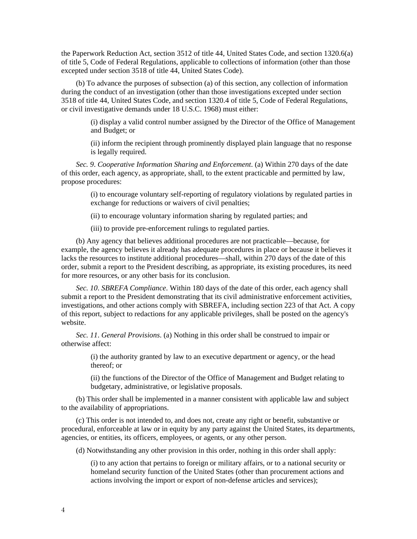the Paperwork Reduction Act, section 3512 of title 44, United States Code, and section 1320.6(a) of title 5, Code of Federal Regulations, applicable to collections of information (other than those excepted under section 3518 of title 44, United States Code).

(b) To advance the purposes of subsection (a) of this section, any collection of information during the conduct of an investigation (other than those investigations excepted under section 3518 of title 44, United States Code, and section 1320.4 of title 5, Code of Federal Regulations, or civil investigative demands under 18 U.S.C. 1968) must either:

> (i) display a valid control number assigned by the Director of the Office of Management and Budget; or

(ii) inform the recipient through prominently displayed plain language that no response is legally required.

*Sec. 9*. *Cooperative Information Sharing and Enforcement*. (a) Within 270 days of the date of this order, each agency, as appropriate, shall, to the extent practicable and permitted by law, propose procedures:

> (i) to encourage voluntary self-reporting of regulatory violations by regulated parties in exchange for reductions or waivers of civil penalties;

(ii) to encourage voluntary information sharing by regulated parties; and

(iii) to provide pre-enforcement rulings to regulated parties.

(b) Any agency that believes additional procedures are not practicable—because, for example, the agency believes it already has adequate procedures in place or because it believes it lacks the resources to institute additional procedures—shall, within 270 days of the date of this order, submit a report to the President describing, as appropriate, its existing procedures, its need for more resources, or any other basis for its conclusion.

*Sec. 10*. *SBREFA Compliance*. Within 180 days of the date of this order, each agency shall submit a report to the President demonstrating that its civil administrative enforcement activities, investigations, and other actions comply with SBREFA, including section 223 of that Act. A copy of this report, subject to redactions for any applicable privileges, shall be posted on the agency's website.

*Sec. 11*. *General Provisions*. (a) Nothing in this order shall be construed to impair or otherwise affect:

> (i) the authority granted by law to an executive department or agency, or the head thereof; or

(ii) the functions of the Director of the Office of Management and Budget relating to budgetary, administrative, or legislative proposals.

(b) This order shall be implemented in a manner consistent with applicable law and subject to the availability of appropriations.

(c) This order is not intended to, and does not, create any right or benefit, substantive or procedural, enforceable at law or in equity by any party against the United States, its departments, agencies, or entities, its officers, employees, or agents, or any other person.

(d) Notwithstanding any other provision in this order, nothing in this order shall apply:

(i) to any action that pertains to foreign or military affairs, or to a national security or homeland security function of the United States (other than procurement actions and actions involving the import or export of non-defense articles and services);